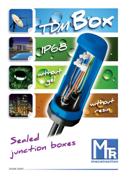

**SICAME GROUP**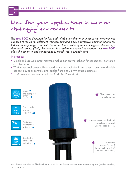# Ideal for your applications in wet or challenging environments

The **TDM BOX** is designed for fast and reliable installation in most of the environments exposed to moisture, inclement weather, dust and many aggressive industrial situations. It does not require gel, nor resin because of its exlusive system which guarantees a high degree of sealing (IP68). Re-opening is possible whenever it is needed: thus **TDM BOX** offers the ability to add connections or modify those already done.

#### In practice:

- Simple and fast waterproof mounting makes it an optimal solution for connections, derivation or cable repair.
- TDM waterproof boxes with screwed dome are available in two sizes to quickly and safely connect power or control signal cables from 6 to 25 mm outside diameter.
- TDM boxes are compliant with the ÖVE IM22 standard.



TDM boxes can also be filled with MTR ALPA-GEL to further prevent from moisture ingress (cables capillary moisture, etc).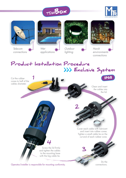









applications



 $\blacktriangle$ 

Outdoor lighting



Harsh environments connections

### Cut the rubber cones to half of the cables diameter. **IP68** Product Installation Procedure >>> Exclusive System

Clean and insert the cables into the lid.

Cover each cable with lubricant and insert into rubber cones. Tighten a small cable tie on the cut end of each rubber cone.

3

Screw the lid firmly and tighten the cables to the mounting base with the big cable tie.

4

Operator/installer is responsible for mounting conformity.

Do the connections.